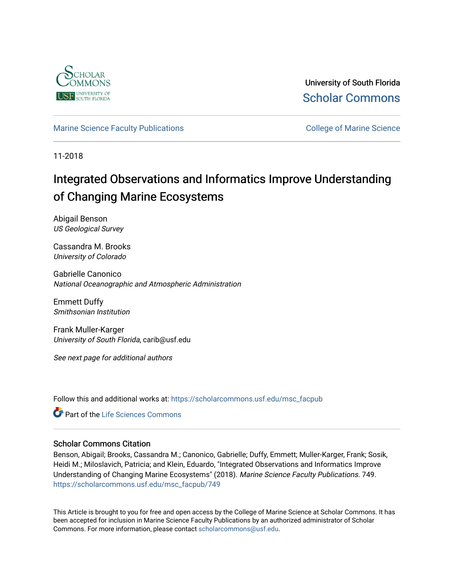

University of South Florida [Scholar Commons](https://scholarcommons.usf.edu/) 

#### [Marine Science Faculty Publications](https://scholarcommons.usf.edu/msc_facpub) **College of Marine Science** College of Marine Science

11-2018

# Integrated Observations and Informatics Improve Understanding of Changing Marine Ecosystems

Abigail Benson US Geological Survey

Cassandra M. Brooks University of Colorado

Gabrielle Canonico National Oceanographic and Atmospheric Administration

Emmett Duffy Smithsonian Institution

Frank Muller-Karger University of South Florida, carib@usf.edu

See next page for additional authors

Follow this and additional works at: [https://scholarcommons.usf.edu/msc\\_facpub](https://scholarcommons.usf.edu/msc_facpub?utm_source=scholarcommons.usf.edu%2Fmsc_facpub%2F749&utm_medium=PDF&utm_campaign=PDFCoverPages)

Part of the [Life Sciences Commons](http://network.bepress.com/hgg/discipline/1016?utm_source=scholarcommons.usf.edu%2Fmsc_facpub%2F749&utm_medium=PDF&utm_campaign=PDFCoverPages) 

#### Scholar Commons Citation

Benson, Abigail; Brooks, Cassandra M.; Canonico, Gabrielle; Duffy, Emmett; Muller-Karger, Frank; Sosik, Heidi M.; Miloslavich, Patricia; and Klein, Eduardo, "Integrated Observations and Informatics Improve Understanding of Changing Marine Ecosystems" (2018). Marine Science Faculty Publications. 749. [https://scholarcommons.usf.edu/msc\\_facpub/749](https://scholarcommons.usf.edu/msc_facpub/749?utm_source=scholarcommons.usf.edu%2Fmsc_facpub%2F749&utm_medium=PDF&utm_campaign=PDFCoverPages)

This Article is brought to you for free and open access by the College of Marine Science at Scholar Commons. It has been accepted for inclusion in Marine Science Faculty Publications by an authorized administrator of Scholar Commons. For more information, please contact [scholarcommons@usf.edu.](mailto:scholarcommons@usf.edu)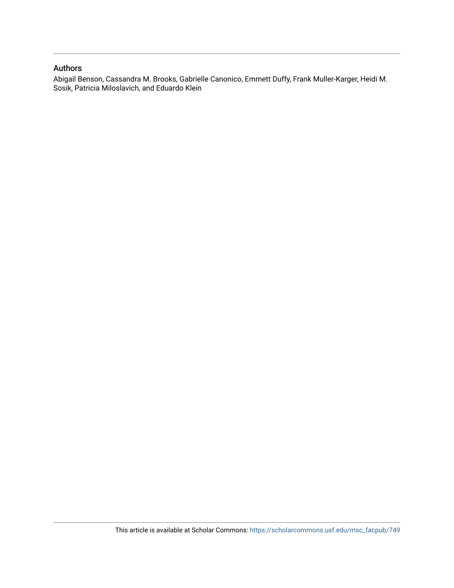#### Authors

Abigail Benson, Cassandra M. Brooks, Gabrielle Canonico, Emmett Duffy, Frank Muller-Karger, Heidi M. Sosik, Patricia Miloslavich, and Eduardo Klein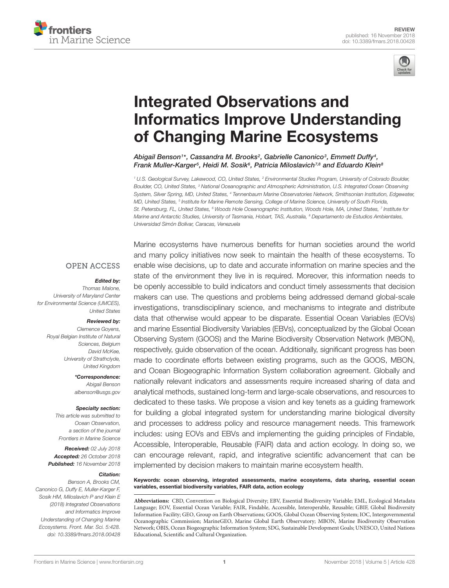



# Integrated Observations and [Informatics Improve Understanding](https://www.frontiersin.org/articles/10.3389/fmars.2018.00428/full) of Changing Marine Ecosystems

[Abigail Benson](http://loop.frontiersin.org/people/541203/overview)1\*, Cassandra M. Brooks<sup>2</sup>, [Gabrielle Canonico](http://loop.frontiersin.org/people/560303/overview)<sup>3</sup>, [Emmett Duffy](http://loop.frontiersin.org/people/510541/overview)<sup>4</sup>, [Frank Muller-Karger](http://loop.frontiersin.org/people/502138/overview)5, [Heidi M. Sosik](http://loop.frontiersin.org/people/619076/overview)6, [Patricia Miloslavich](http://loop.frontiersin.org/people/493547/overview)7,8 and [Eduardo Klein](http://loop.frontiersin.org/people/236610/overview)<sup>s</sup>

<sup>1</sup> U.S. Geological Survey, Lakewood, CO, United States, <sup>2</sup> Environmental Studies Program, University of Colorado Boulder, Boulder, CO, United States, <sup>3</sup> National Oceanographic and Atmospheric Administration, U.S. Integrated Ocean Observing System, Silver Spring, MD, United States, <sup>4</sup> Tennenbaum Marine Observatories Network, Smithsonian Institution, Edgewater, MD, United States, <sup>s</sup> Institute for Marine Remote Sensing, College of Marine Science, University of South Florida, St. Petersburg, FL, United States, <sup>6</sup> Woods Hole Oceanographic Institution, Woods Hole, MA, United States, <sup>7</sup> Institute for Marine and Antarctic Studies, University of Tasmania, Hobart, TAS, Australia, <sup>8</sup> Departamento de Estudios Ambientales, Universidad Simón Bolívar, Caracas, Venezuela

#### **OPEN ACCESS**

#### Edited by:

Thomas Malone, University of Maryland Center for Environmental Science (UMCES), United States

#### Reviewed by:

Clemence Goyens, Royal Belgian Institute of Natural Sciences, Belgium David McKee, University of Strathclyde, United Kingdom

> \*Correspondence: Abigail Benson albenson@usgs.gov

#### Specialty section:

This article was submitted to Ocean Observation, a section of the journal Frontiers in Marine Science

Received: 02 July 2018 Accepted: 26 October 2018 Published: 16 November 2018

#### Citation:

Benson A, Brooks CM, Canonico G, Duffy E, Muller-Karger F, Sosik HM, Miloslavich P and Klein E (2018) Integrated Observations and Informatics Improve Understanding of Changing Marine Ecosystems. Front. Mar. Sci. 5:428. doi: [10.3389/fmars.2018.00428](https://doi.org/10.3389/fmars.2018.00428) Marine ecosystems have numerous benefits for human societies around the world and many policy initiatives now seek to maintain the health of these ecosystems. To enable wise decisions, up to date and accurate information on marine species and the state of the environment they live in is required. Moreover, this information needs to be openly accessible to build indicators and conduct timely assessments that decision makers can use. The questions and problems being addressed demand global-scale investigations, transdisciplinary science, and mechanisms to integrate and distribute data that otherwise would appear to be disparate. Essential Ocean Variables (EOVs) and marine Essential Biodiversity Variables (EBVs), conceptualized by the Global Ocean Observing System (GOOS) and the Marine Biodiversity Observation Network (MBON), respectively, guide observation of the ocean. Additionally, significant progress has been made to coordinate efforts between existing programs, such as the GOOS, MBON, and Ocean Biogeographic Information System collaboration agreement. Globally and nationally relevant indicators and assessments require increased sharing of data and analytical methods, sustained long-term and large-scale observations, and resources to dedicated to these tasks. We propose a vision and key tenets as a guiding framework for building a global integrated system for understanding marine biological diversity and processes to address policy and resource management needs. This framework includes: using EOVs and EBVs and implementing the guiding principles of Findable, Accessible, Interoperable, Reusable (FAIR) data and action ecology. In doing so, we can encourage relevant, rapid, and integrative scientific advancement that can be implemented by decision makers to maintain marine ecosystem health.

#### Keywords: ocean observing, integrated assessments, marine ecosystems, data sharing, essential ocean variables, essential biodiversity variables, FAIR data, action ecology

**Abbreviations:** CBD, Convention on Biological Diversity; EBV, Essential Biodiversity Variable; EML, Ecological Metadata Language; EOV, Essential Ocean Variable; FAIR, Findable, Accessible, Interoperable, Reusable; GBIF, Global Biodiversity Information Facility; GEO, Group on Earth Observations; GOOS, Global Ocean Observing System; IOC, Intergovernmental Oceanographic Commission; MarineGEO, Marine Global Earth Observatory; MBON, Marine Biodiversity Observation Network; OBIS, Ocean Biogeographic Information System; SDG, Sustainable Development Goals; UNESCO, United Nations Educational, Scientific and Cultural Organization.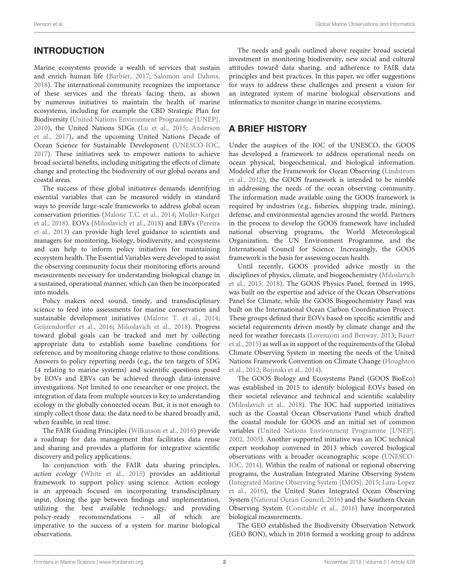Marine ecosystems provide a wealth of services that sustain and enrich human life [\(Barbier,](#page-8-0) [2017;](#page-8-0) [Salomon and Dahms,](#page-9-0) [2018\)](#page-9-0). The international community recognizes the importance of these services and the threats facing them, as shown by numerous initiatives to maintain the health of marine ecosystems, including for example the CBD Strategic Plan for Biodiversity [\(United Nations Environment Programme \[UNEP\],](#page-9-1) [2010\)](#page-9-1), the United Nations SDGs [\(Lu et al.,](#page-9-2) [2015;](#page-9-2) [Anderson](#page-8-1) [et al.,](#page-8-1) [2017\)](#page-8-1), and the upcoming United Nations Decade of Ocean Science for Sustainable Development [\(UNESCO-IOC,](#page-9-3) [2017\)](#page-9-3). These initiatives seek to empower nations to achieve broad societal benefits, including mitigating the effects of climate change and protecting the biodiversity of our global oceans and coastal areas.

The success of these global initiatives demands identifying essential variables that can be measured widely in standard ways to provide large-scale frameworks to address global ocean conservation priorities [\(Malone T.C. et al.,](#page-9-4) [2014;](#page-9-4) [Muller-Karger](#page-9-5) [et al.,](#page-9-5) [2018\)](#page-9-5). EOVs [\(Miloslavich et al.,](#page-9-6) [2018\)](#page-9-6) and EBVs [\(Pereira](#page-9-7) [et al.,](#page-9-7) [2013\)](#page-9-7) can provide high level guidance to scientists and managers for monitoring, biology, biodiversity, and ecosystems and can help to inform policy initiatives for maintaining ecosystem health. The Essential Variables were developed to assist the observing community focus their monitoring efforts around measurements necessary for understanding biological change in a sustained, operational manner, which can then be incorporated into models.

Policy makers need sound, timely, and transdisciplinary science to feed into assessments for marine conservation and sustainable development initiatives [\(Malone T. et al.,](#page-9-8) [2014;](#page-9-8) [Geijzendorffer et al.,](#page-8-2) [2016;](#page-8-2) [Miloslavich et al.,](#page-9-6) [2018\)](#page-9-6). Progress toward global goals can be tracked and met by collecting appropriate data to establish some baseline conditions for reference, and by monitoring change relative to those conditions. Answers to policy reporting needs (e.g., the ten targets of SDG 14 relating to marine systems) and scientific questions posed by EOVs and EBVs can be achieved through data-intensive investigations. Not limited to one researcher or one project, the integration of data from multiple sources is key to understanding ecology in the globally connected ocean. But, it is not enough to simply collect those data; the data need to be shared broadly and, when feasible, in real time.

The FAIR Guiding Principles [\(Wilkinson et al.,](#page-9-9) [2016\)](#page-9-9) provide a roadmap for data management that facilitates data reuse and sharing and provides a platform for integrative scientific discovery and policy applications.

In conjunction with the FAIR data sharing principles, action ecology [\(White et al.,](#page-9-10) [2015\)](#page-9-10) provides an additional framework to support policy using science. Action ecology is an approach focused on incorporating transdisciplinary input, closing the gap between findings and implementation, utilizing the best available technology, and providing policy-ready recommendations – all of which are imperative to the success of a system for marine biological observations.

The needs and goals outlined above require broad societal investment in monitoring biodiversity, new social and cultural attitudes toward data sharing, and adherence to FAIR data principles and best practices. In this paper, we offer suggestions for ways to address these challenges and present a vision for an integrated system of marine biological observations and informatics to monitor change in marine ecosystems.

## A BRIEF HISTORY

Under the auspices of the IOC of the UNESCO, the GOOS has developed a framework to address operational needs on ocean physical, biogeochemical, and biological information. Modeled after the Framework for Ocean Observing [\(Lindstrom](#page-8-3) [et al.,](#page-8-3) [2012\)](#page-8-3), the GOOS framework is intended to be nimble in addressing the needs of the ocean observing community. The information made available using the GOOS framework is required by industries (e.g., fisheries, shipping trade, mining), defense, and environmental agencies around the world. Partners in the process to develop the GOOS framework have included national observing programs, the World Meteorological Organization, the UN Environment Programme, and the International Council for Science. Increasingly, the GOOS framework is the basis for assessing ocean health.

Until recently, GOOS provided advice mostly in the disciplines of physics, climate, and biogeochemistry [\(Miloslavich](#page-9-11) [et al.,](#page-9-11) [2015,](#page-9-11) [2018\)](#page-9-6). The GOOS Physics Panel, formed in 1995, was built on the expertise and advice of the Ocean Observations Panel for Climate, while the GOOS Biogeochemistry Panel was built on the International Ocean Carbon Coordination Project. These groups defined their EOVs based on specific scientific and societal requirements driven mostly by climate change and the need for weather forecasts [\(Lorenzoni and Benway,](#page-9-12) [2013;](#page-9-12) [Bauer](#page-8-4) [et al.,](#page-8-4) [2015\)](#page-8-4) as well as in support of the requirements of the Global Climate Observing System in meeting the needs of the United Nations Framework Convention on Climate Change [\(Houghton](#page-8-5) [et al.,](#page-8-5) [2012;](#page-8-5) [Bojinski et al.,](#page-8-6) [2014\)](#page-8-6).

The GOOS Biology and Ecosystems Panel (GOOS BioEco) was established in 2015 to identify biological EOVs based on their societal relevance and technical and scientific scalability [\(Miloslavich et al.,](#page-9-6) [2018\)](#page-9-6). The IOC had supported initiatives such as the Coastal Ocean Observations Panel which drafted the coastal module for GOOS and an initial set of common variables [\(United Nations Environment Programme \[UNEP\],](#page-9-13) [2002,](#page-9-13) [2005\)](#page-9-14). Another supported initiative was an IOC technical expert workshop convened in 2013 which covered biological observations with a broader oceanographic scope [\(UNESCO-](#page-9-15)[IOC,](#page-9-15) [2014\)](#page-9-15). Within the realm of national or regional observing programs, the Australian Integrated Marine Observing System [\(Integrated Marine Observing System \[IMOS\],](#page-8-7) [2015;](#page-8-7) [Lara-Lopez](#page-8-8) [et al.,](#page-8-8) [2016\)](#page-8-8), the United States Integrated Ocean Observing System [\(National Ocean Council,](#page-9-16) [2016\)](#page-9-16) and the Southern Ocean Observing System [\(Constable et al.,](#page-8-9) [2016\)](#page-8-9) have incorporated biological measurements.

The GEO established the Biodiversity Observation Network (GEO BON), which in 2016 formed a working group to address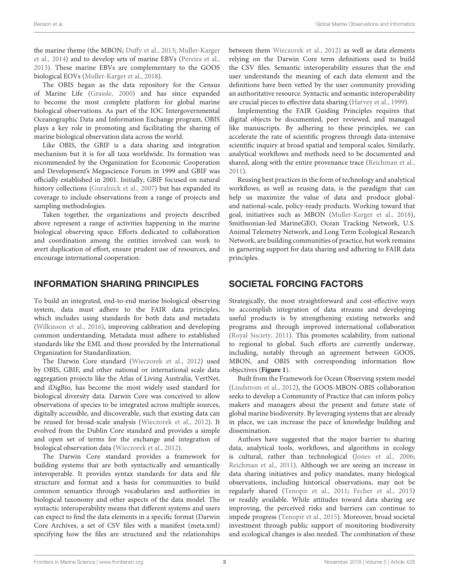the marine theme (the MBON; [Duffy et al.,](#page-8-10) [2013;](#page-8-10) [Muller-Karger](#page-9-17) [et al.,](#page-9-17) [2014\)](#page-9-17) and to develop sets of marine EBVs [\(Pereira et al.,](#page-9-7) [2013\)](#page-9-7). These marine EBVs are complementary to the GOOS biological EOVs [\(Muller-Karger et al.,](#page-9-5) [2018\)](#page-9-5).

The OBIS began as the data repository for the Census of Marine Life [\(Grassle,](#page-8-11) [2000\)](#page-8-11) and has since expanded to become the most complete platform for global marine biological observations. As part of the IOC Intergovernmental Oceanographic Data and Information Exchange program, OBIS plays a key role in promoting and facilitating the sharing of marine biological observation data across the world.

Like OBIS, the GBIF is a data sharing and integration mechanism but it is for all taxa worldwide. Its formation was recommended by the Organization for Economic Cooperation and Development's Megascience Forum in 1999 and GBIF was officially established in 2001. Initially, GBIF focused on natural history collections [\(Guralnick et al.,](#page-8-12) [2007\)](#page-8-12) but has expanded its coverage to include observations from a range of projects and sampling methodologies.

Taken together, the organizations and projects described above represent a range of activities happening in the marine biological observing space. Efforts dedicated to collaboration and coordination among the entities involved can work to avert duplication of effort, ensure prudent use of resources, and encourage international cooperation.

### INFORMATION SHARING PRINCIPLES

To build an integrated, end-to-end marine biological observing system, data must adhere to the FAIR data principles, which includes using standards for both data and metadata [\(Wilkinson et al.,](#page-9-9) [2016\)](#page-9-9), improving calibration and developing common understanding. Metadata must adhere to established standards like the EML and those provided by the International Organization for Standardization.

The Darwin Core standard [\(Wieczorek et al.,](#page-9-18) [2012\)](#page-9-18) used by OBIS, GBIF, and other national or international scale data aggregation projects like the Atlas of Living Australia, VertNet, and iDigBio, has become the most widely used standard for biological diversity data. Darwin Core was conceived to allow observations of species to be integrated across multiple sources, digitally accessible, and discoverable, such that existing data can be reused for broad-scale analysis [\(Wieczorek et al.,](#page-9-18) [2012\)](#page-9-18). It evolved from the Dublin Core standard and provides a simple and open set of terms for the exchange and integration of biological observation data [\(Wieczorek et al.,](#page-9-18) [2012\)](#page-9-18).

The Darwin Core standard provides a framework for building systems that are both syntactically and semantically interoperable. It provides syntax standards for data and file structure and format and a basis for communities to build common semantics through vocabularies and authorities in biological taxonomy and other aspects of the data model. The syntactic interoperability means that different systems and users can expect to find the data elements in a specific format (Darwin Core Archives, a set of CSV files with a manifest (meta.xml) specifying how the files are structured and the relationships

between them [Wieczorek et al.,](#page-9-18) [2012\)](#page-9-18) as well as data elements relying on the Darwin Core term definitions used to build the CSV files. Semantic interoperability ensures that the end user understands the meaning of each data element and the definitions have been vetted by the user community providing an authoritative resource. Syntactic and semantic interoperability are crucial pieces to effective data sharing [\(Harvey et al.,](#page-8-13) [1999\)](#page-8-13).

Implementing the FAIR Guiding Principles requires that digital objects be documented, peer reviewed, and managed like manuscripts. By adhering to these principles, we can accelerate the rate of scientific progress through data-intensive scientific inquiry at broad spatial and temporal scales. Similarly, analytical workflows and methods need to be documented and shared, along with the entire provenance trace [\(Reichman et al.,](#page-9-19) [2011\)](#page-9-19).

Reusing best practices in the form of technology and analytical workflows, as well as reusing data, is the paradigm that can help us maximize the value of data and produce globaland national-scale, policy-ready products. Working toward that goal, initiatives such as MBON [\(Muller-Karger et al.,](#page-9-5) [2018\)](#page-9-5), Smithsonian-led MarineGEO, Ocean Tracking Network, U.S. Animal Telemetry Network, and Long Term Ecological Research Network, are building communities of practice, but work remains in garnering support for data sharing and adhering to FAIR data principles.

# SOCIETAL FORCING FACTORS

Strategically, the most straightforward and cost-effective ways to accomplish integration of data streams and developing useful products is by strengthening existing networks and programs and through improved international collaboration [\(Royal Society,](#page-9-20) [2011\)](#page-9-20). This promotes scalability, from national to regional to global. Such efforts are currently underway, including, notably through an agreement between GOOS, MBON, and OBIS with corresponding information flow objectives (**[Figure 1](#page-5-0)**).

Built from the Framework for Ocean Observing system model [\(Lindstrom et al.,](#page-8-3) [2012\)](#page-8-3), the GOOS-MBON-OBIS collaboration seeks to develop a Community of Practice that can inform policy makers and managers about the present and future state of global marine biodiversity. By leveraging systems that are already in place, we can increase the pace of knowledge building and dissemination.

Authors have suggested that the major barrier to sharing data, analytical tools, workflows, and algorithms in ecology is cultural, rather than technological [\(Jones et al.,](#page-8-14) [2006;](#page-8-14) [Reichman et al.,](#page-9-19) [2011\)](#page-9-19). Although we are seeing an increase in data sharing initiatives and policy mandates, many biological observations, including historical observations, may not be regularly shared [\(Tenopir et al.,](#page-9-21) [2011;](#page-9-21) [Fecher et al.,](#page-8-15) [2015\)](#page-8-15) or readily available. While attitudes toward data sharing are improving, the perceived risks and barriers can continue to impede progress [\(Tenopir et al.,](#page-9-22) [2015\)](#page-9-22). Moreover, broad societal investment through public support of monitoring biodiversity and ecological changes is also needed. The combination of these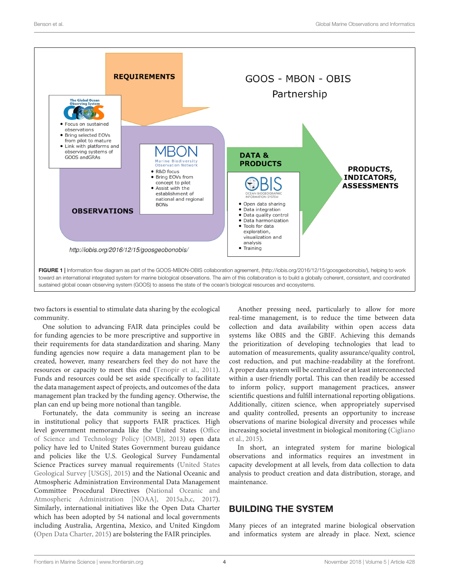

<span id="page-5-0"></span>two factors is essential to stimulate data sharing by the ecological community.

One solution to advancing FAIR data principles could be for funding agencies to be more prescriptive and supportive in their requirements for data standardization and sharing. Many funding agencies now require a data management plan to be created, however, many researchers feel they do not have the resources or capacity to meet this end [\(Tenopir et al.,](#page-9-21) [2011\)](#page-9-21). Funds and resources could be set aside specifically to facilitate the data management aspect of projects, and outcomes of the data management plan tracked by the funding agency. Otherwise, the plan can end up being more notional than tangible.

Fortunately, the data community is seeing an increase in institutional policy that supports FAIR practices. High level government memoranda like the United States [\(Office](#page-9-23) [of Science and Technology Policy \[OMB\],](#page-9-23) [2013\)](#page-9-23) open data policy have led to United States Government bureau guidance and policies like the U.S. Geological Survey Fundamental Science Practices survey manual requirements [\(United States](#page-9-24) [Geological Survey \[USGS\],](#page-9-24) [2015\)](#page-9-24) and the National Oceanic and Atmospheric Administration Environmental Data Management Committee Procedural Directives [\(National Oceanic and](#page-9-25) [Atmospheric Administration \[NOAA\],](#page-9-25) [2015a,](#page-9-25)[b,](#page-9-26)[c,](#page-9-27) [2017\)](#page-9-28). Similarly, international initiatives like the Open Data Charter which has been adopted by 54 national and local governments including Australia, Argentina, Mexico, and United Kingdom [\(Open Data Charter,](#page-9-29) [2015\)](#page-9-29) are bolstering the FAIR principles.

Another pressing need, particularly to allow for more real-time management, is to reduce the time between data collection and data availability within open access data systems like OBIS and the GBIF. Achieving this demands the prioritization of developing technologies that lead to automation of measurements, quality assurance/quality control, cost reduction, and put machine-readability at the forefront. A proper data system will be centralized or at least interconnected within a user-friendly portal. This can then readily be accessed to inform policy, support management practices, answer scientific questions and fulfill international reporting obligations. Additionally, citizen science, when appropriately supervised and quality controlled, presents an opportunity to increase observations of marine biological diversity and processes while increasing societal investment in biological monitoring [\(Cigliano](#page-8-16) [et al.,](#page-8-16) [2015\)](#page-8-16).

In short, an integrated system for marine biological observations and informatics requires an investment in capacity development at all levels, from data collection to data analysis to product creation and data distribution, storage, and maintenance.

### BUILDING THE SYSTEM

Many pieces of an integrated marine biological observation and informatics system are already in place. Next, science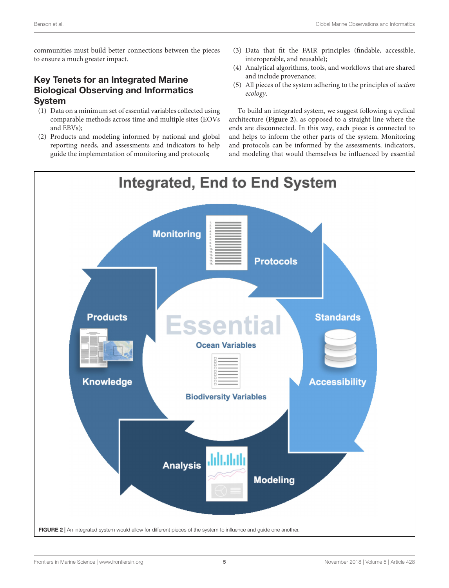communities must build better connections between the pieces to ensure a much greater impact.

## Key Tenets for an Integrated Marine Biological Observing and Informatics System

- (1) Data on a minimum set of essential variables collected using comparable methods across time and multiple sites (EOVs and EBVs);
- (2) Products and modeling informed by national and global reporting needs, and assessments and indicators to help guide the implementation of monitoring and protocols;
- (3) Data that fit the FAIR principles (findable, accessible, interoperable, and reusable);
- (4) Analytical algorithms, tools, and workflows that are shared and include provenance;
- (5) All pieces of the system adhering to the principles of action ecology.

To build an integrated system, we suggest following a cyclical architecture (**[Figure 2](#page-6-0)**), as opposed to a straight line where the ends are disconnected. In this way, each piece is connected to and helps to inform the other parts of the system. Monitoring and protocols can be informed by the assessments, indicators, and modeling that would themselves be influenced by essential

<span id="page-6-0"></span>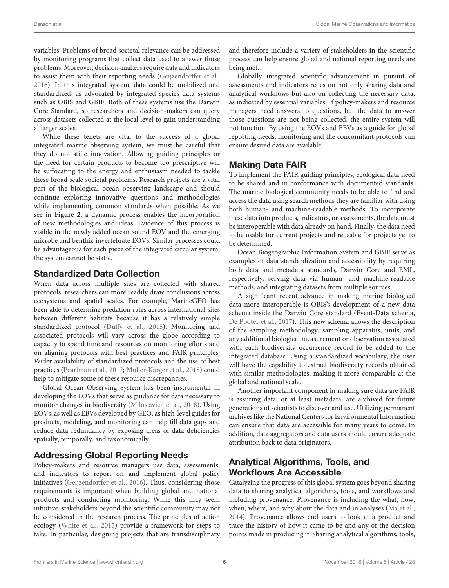variables. Problems of broad societal relevance can be addressed by monitoring programs that collect data used to answer those problems. Moreover, decision-makers require data and indicators to assist them with their reporting needs [\(Geijzendorffer et al.,](#page-8-2) [2016\)](#page-8-2). In this integrated system, data could be mobilized and standardized, as advocated by integrated species data systems such as OBIS and GBIF. Both of these systems use the Darwin Core Standard, so researchers and decision-makers can query across datasets collected at the local level to gain understanding at larger scales.

While these tenets are vital to the success of a global integrated marine observing system, we must be careful that they do not stifle innovation. Allowing guiding principles or the need for certain products to become too prescriptive will be suffocating to the energy and enthusiasm needed to tackle these broad scale societal problems. Research projects are a vital part of the biological ocean observing landscape and should continue exploring innovative questions and methodologies while implementing common standards when possible. As we see in **[Figure 2](#page-6-0)**, a dynamic process enables the incorporation of new methodologies and ideas. Evidence of this process is visible in the newly added ocean sound EOV and the emerging microbe and benthic invertebrate EOVs. Similar processes could be advantageous for each piece of the integrated circular system; the system cannot be static.

### Standardized Data Collection

When data across multiple sites are collected with shared protocols, researchers can more readily draw conclusions across ecosystems and spatial scales. For example, MarineGEO has been able to determine predation rates across international sites between different habitats because it has a relatively simple standardized protocol [\(Duffy et al.,](#page-8-17) [2015\)](#page-8-17). Monitoring and associated protocols will vary across the globe according to capacity to spend time and resources on monitoring efforts and on aligning protocols with best practices and FAIR principles. Wider availability of standardized protocols and the use of best practices [\(Pearlman et al.,](#page-9-30) [2017;](#page-9-30) [Muller-Karger et al.,](#page-9-5) [2018\)](#page-9-5) could help to mitigate some of these resource discrepancies.

Global Ocean Observing System has been instrumental in developing the EOVs that serve as guidance for data necessary to monitor changes in biodiversity [\(Miloslavich et al.,](#page-9-6) [2018\)](#page-9-6). Using EOVs, as well as EBVs developed by GEO, as high-level guides for products, modeling, and monitoring can help fill data gaps and reduce data redundancy by exposing areas of data deficiencies spatially, temporally, and taxonomically.

# Addressing Global Reporting Needs

Policy-makers and resource managers use data, assessments, and indicators to report on and implement global policy initiatives [\(Geijzendorffer et al.,](#page-8-2) [2016\)](#page-8-2). Thus, considering those requirements is important when building global and national products and conducting monitoring. While this may seem intuitive, stakeholders beyond the scientific community may not be considered in the research process. The principles of action ecology [\(White et al.,](#page-9-10) [2015\)](#page-9-10) provide a framework for steps to take. In particular, designing projects that are transdisciplinary

and therefore include a variety of stakeholders in the scientific process can help ensure global and national reporting needs are being met.

Globally integrated scientific advancement in pursuit of assessments and indicators relies on not only sharing data and analytical workflows but also on collecting the necessary data, as indicated by essential variables. If policy-makers and resource managers need answers to questions, but the data to answer those questions are not being collected, the entire system will not function. By using the EOVs and EBVs as a guide for global reporting needs, monitoring and the concomitant protocols can ensure desired data are available.

# Making Data FAIR

To implement the FAIR guiding principles, ecological data need to be shared and in conformance with documented standards. The marine biological community needs to be able to find and access the data using search methods they are familiar with using both human- and machine-readable methods. To incorporate these data into products, indicators, or assessments, the data must be interoperable with data already on hand. Finally, the data need to be usable for current projects and reusable for projects yet to be determined.

Ocean Biogeographic Information System and GBIF serve as examples of data standardization and accessibility by requiring both data and metadata standards, Darwin Core and EML, respectively, serving data via human- and machine-readable methods, and integrating datasets from multiple sources.

A significant recent advance in making marine biological data more interoperable is OBIS's development of a new data schema inside the Darwin Core standard (Event-Data schema, [De Pooter et al.,](#page-8-18) [2017\)](#page-8-18). This new schema allows the description of the sampling methodology, sampling apparatus, units, and any additional biological measurement or observation associated with each biodiversity occurrence record to be added to the integrated database. Using a standardized vocabulary, the user will have the capability to extract biodiversity records obtained with similar methodologies, making it more comparable at the global and national scale.

Another important component in making sure data are FAIR is assuring data, or at least metadata, are archived for future generations of scientists to discover and use. Utilizing permanent archives like the National Centers for Environmental Information can ensure that data are accessible for many years to come. In addition, data aggregators and data users should ensure adequate attribution back to data originators.

# Analytical Algorithms, Tools, and Workflows Are Accessible

Catalyzing the progress of this global system goes beyond sharing data to sharing analytical algorithms, tools, and workflows and including provenance. Provenance is including the what, how, when, where, and why about the data and in analyses [\(Ma et al.,](#page-9-31) [2014\)](#page-9-31). Provenance allows end users to look at a product and trace the history of how it came to be and any of the decision points made in producing it. Sharing analytical algorithms, tools,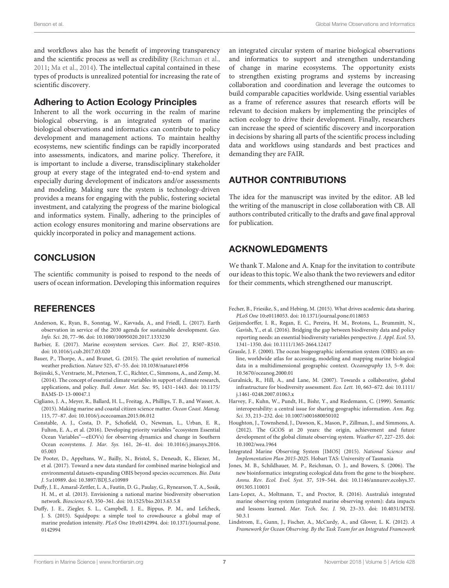and workflows also has the benefit of improving transparency and the scientific process as well as credibility [\(Reichman et al.,](#page-9-19) [2011;](#page-9-19) [Ma et al.,](#page-9-31) [2014\)](#page-9-31). The intellectual capital contained in these types of products is unrealized potential for increasing the rate of scientific discovery.

#### Adhering to Action Ecology Principles

Inherent to all the work occurring in the realm of marine biological observing, is an integrated system of marine biological observations and informatics can contribute to policy development and management actions. To maintain healthy ecosystems, new scientific findings can be rapidly incorporated into assessments, indicators, and marine policy. Therefore, it is important to include a diverse, transdisciplinary stakeholder group at every stage of the integrated end-to-end system and especially during development of indicators and/or assessments and modeling. Making sure the system is technology-driven provides a means for engaging with the public, fostering societal investment, and catalyzing the progress of the marine biological and informatics system. Finally, adhering to the principles of action ecology ensures monitoring and marine observations are quickly incorporated in policy and management actions.

# **CONCLUSION**

The scientific community is poised to respond to the needs of users of ocean information. Developing this information requires

## **REFERENCES**

- <span id="page-8-1"></span>Anderson, K., Ryan, B., Sonntag, W., Kavvada, A., and Friedl, L. (2017). Earth observation in service of the 2030 agenda for sustainable development. Geo. Info. Sci. 20, 77–96. [doi: 10.1080/10095020.2017.1333230](https://doi.org/10.1080/10095020.2017.1333230)
- <span id="page-8-0"></span>Barbier, E. (2017). Marine ecosystem services. Curr. Biol. 27, R507–R510. [doi: 10.1016/j.cub.2017.03.020](https://doi.org/10.1016/j.cub.2017.03.020)
- <span id="page-8-4"></span>Bauer, P., Thorpe, A., and Brunet, G. (2015). The quiet revolution of numerical weather prediction. Nature 525, 47–55. [doi: 10.1038/nature14956](https://doi.org/10.1038/nature14956)
- <span id="page-8-6"></span>Bojinski, S., Verstraete, M., Peterson, T. C., Richter, C., Simmons, A., and Zemp, M. (2014). The concept of essential climate variables in support of climate research, applications, and policy. Bull. Amer. Met. Soc. 95, 1431–1443. [doi: 10.1175/](https://doi.org/10.1175/BAMS-D-13-00047.1) [BAMS-D-13-00047.1](https://doi.org/10.1175/BAMS-D-13-00047.1)
- <span id="page-8-16"></span>Cigliano, J. A., Meyer, R., Ballard, H. L., Freitag, A., Phillips, T. B., and Wasser, A. (2015). Making marine and coastal citizen science matter. Ocean Coast. Manag. 115, 77–87. [doi: 10.1016/j.ocecoaman.2015.06.012](https://doi.org/10.1016/j.ocecoaman.2015.06.012)
- <span id="page-8-9"></span>Constable, A. J., Costa, D. P., Schofield, O., Newman, L., Urban, E. R., Fulton, E. A., et al. (2016). Developing priority variables "ecosystem Essential Ocean Variables"—eEOVs) for observing dynamics and change in Southern Ocean ecosystems. J. Mar. Sys. 161, 26–41. [doi: 10.1016/j.jmarsys.2016.](https://doi.org/10.1016/j.jmarsys.2016.05.003) [05.003](https://doi.org/10.1016/j.jmarsys.2016.05.003)
- <span id="page-8-18"></span>De Pooter, D., Appeltans, W., Bailly, N., Bristol, S., Deneudt, K., Eliezer, M., et al. (2017). Toward a new data standard for combined marine biological and environmental datasets-expanding OBIS beyond species occurrences. Bio. Data J. 5:e10989. [doi: 10.3897/BDJ.5.e10989](https://doi.org/10.3897/BDJ.5.e10989)
- <span id="page-8-10"></span>Duffy, J. E., Amaral-Zettler, L. A., Fautin, D. G., Paulay, G., Rynearson, T. A., Sosik, H. M., et al. (2013). Envisioning a national marine biodiversity observation network. Bioscience 63, 350–361. [doi: 10.1525/bio.2013.63.5.8](https://doi.org/10.1525/bio.2013.63.5.8)
- <span id="page-8-17"></span>Duffy, J. E., Ziegler, S. L., Campbell, J. E., Bippus, P. M., and Lefcheck, J. S. (2015). Squidpops: a simple tool to crowdsource a global map of marine predation intensity. PLoS One 10:e0142994. [doi: 10.1371/journal.pone.](https://doi.org/10.1371/journal.pone.0142994) [0142994](https://doi.org/10.1371/journal.pone.0142994)

an integrated circular system of marine biological observations and informatics to support and strengthen understanding of change in marine ecosystems. The opportunity exists to strengthen existing programs and systems by increasing collaboration and coordination and leverage the outcomes to build comparable capacities worldwide. Using essential variables as a frame of reference assures that research efforts will be relevant to decision makers by implementing the principles of action ecology to drive their development. Finally, researchers can increase the speed of scientific discovery and incorporation in decisions by sharing all parts of the scientific process including data and workflows using standards and best practices and demanding they are FAIR.

# AUTHOR CONTRIBUTIONS

The idea for the manuscript was invited by the editor. AB led the writing of the manuscript in close collaboration with CB. All authors contributed critically to the drafts and gave final approval for publication.

# ACKNOWLEDGMENTS

We thank T. Malone and A. Knap for the invitation to contribute our ideas to this topic. We also thank the two reviewers and editor for their comments, which strengthened our manuscript.

- <span id="page-8-15"></span>Fecher, B., Friesike, S., and Hebing, M. (2015). What drives academic data sharing. PLoS One 10:e0118053. [doi: 10.1371/journal.pone.0118053](https://doi.org/10.1371/journal.pone.0118053)
- <span id="page-8-2"></span>Geijzendorffer, I. R., Regan, E. C., Pereira, H. M., Brotons, L., Brummitt, N., Gavish, Y., et al. (2016). Bridging the gap between biodiversity data and policy reporting needs: an essential biodiversity variables perspective. J. Appl. Ecol. 53, 1341–1350. [doi: 10.1111/1365-2664.12417](https://doi.org/10.1111/1365-2664.12417)
- <span id="page-8-11"></span>Grassle, J. F. (2000). The ocean biogeographic information system (OBIS): an online, worldwide atlas for accessing, modeling and mapping marine biological data in a multidimensional geographic context. Oceanography 13, 5–9. [doi:](https://doi.org/10.5670/oceanog.2000.01) [10.5670/oceanog.2000.01](https://doi.org/10.5670/oceanog.2000.01)
- <span id="page-8-12"></span>Guralnick, R., Hill, A., and Lane, M. (2007). Towards a collaborative, global infrastructure for biodiversity assessment. Eco. Lett. 10, 663–672. [doi: 10.1111/](https://doi.org/10.1111/j.1461-0248.2007.01063.x) [j.1461-0248.2007.01063.x](https://doi.org/10.1111/j.1461-0248.2007.01063.x)
- <span id="page-8-13"></span>Harvey, F., Kuhn, W., Pundt, H., Bishr, Y., and Riedemann, C. (1999). Semantic interoperability: a central issue for sharing geographic information. Ann. Reg. Sci. 33, 213–232. [doi: 10.1007/s001680050102](https://doi.org/10.1007/s001680050102)
- <span id="page-8-5"></span>Houghton, J., Townshend, J., Dawson, K., Mason, P., Zillman, J., and Simmons, A. (2012). The GCOS at 20 years: the origin, achievement and future development of the global climate observing system. Weather 67, 227–235. [doi:](https://doi.org/10.1002/wea.1964) [10.1002/wea.1964](https://doi.org/10.1002/wea.1964)
- <span id="page-8-7"></span>Integrated Marine Observing System [IMOS] (2015). National Science and Implementation Plan 2015-2025. Hobart TAS: University of Tasmania
- <span id="page-8-14"></span>Jones, M. B., Schildhauer, M. P., Reichman, O. J., and Bowers, S. (2006). The new bioinformatics: integrating ecological data from the gene to the biosphere. Annu. Rev. Ecol. Evol. Syst. 37, 519–544. [doi: 10.1146/annurev.ecolsys.37.](https://doi.org/10.1146/annurev.ecolsys.37.091305.110031) [091305.110031](https://doi.org/10.1146/annurev.ecolsys.37.091305.110031)
- <span id="page-8-8"></span>Lara-Lopez, A., Moltmann, T., and Proctor, R. (2016). Australia's integrated marine observing system (integrated marine observing system): data impacts and lessons learned. Mar. Tech. Soc. J. 50, 23–33. [doi: 10.4031/MTSJ.](https://doi.org/10.4031/MTSJ.50.3.1) [50.3.1](https://doi.org/10.4031/MTSJ.50.3.1)
- <span id="page-8-3"></span>Lindstrom, E., Gunn, J., Fischer, A., McCurdy, A., and Glover, L. K. (2012). A Framework for Ocean Observing. By the Task Team for an Integrated Framework